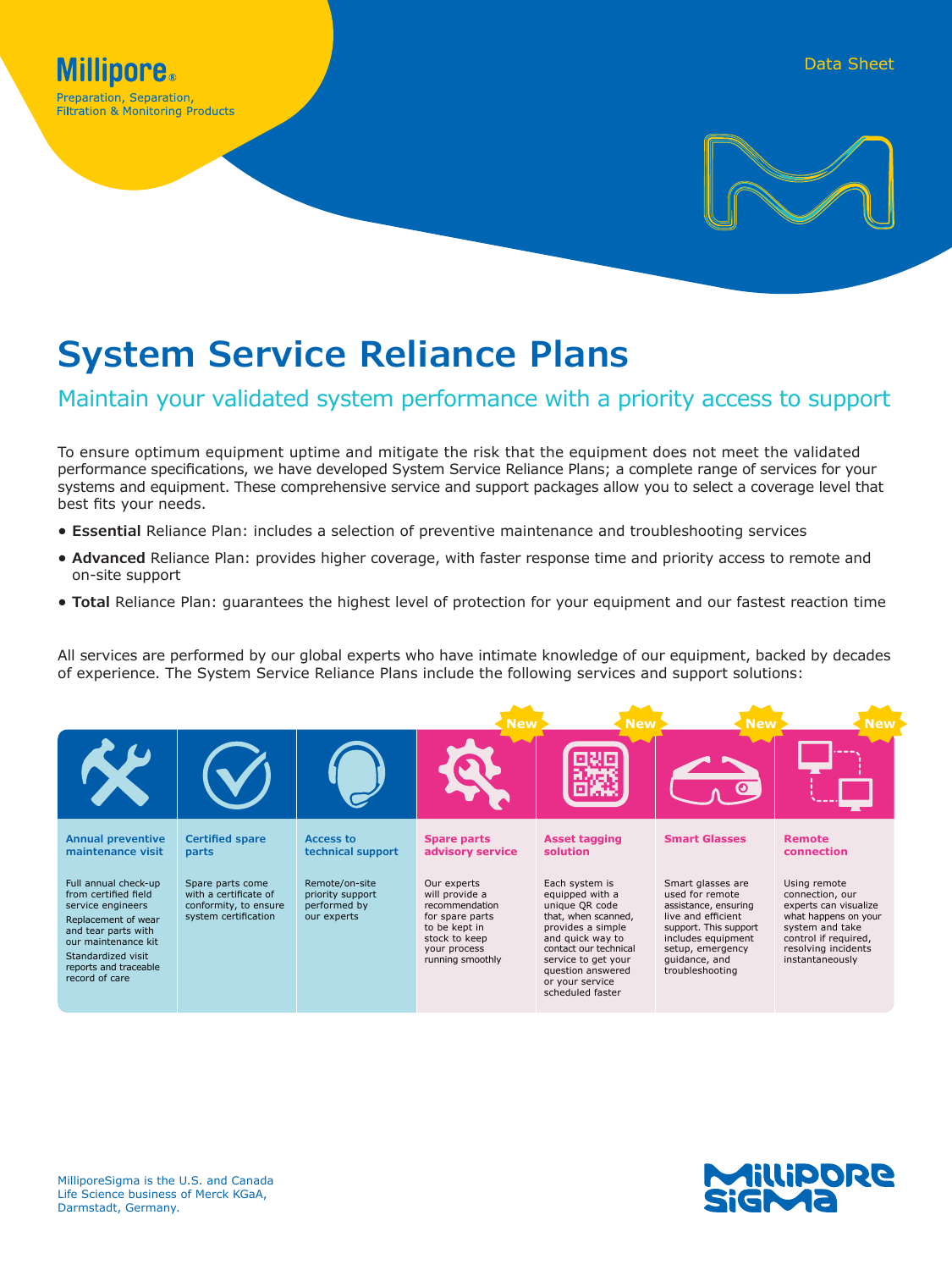**Filtration & Monitoring Products** 



# **System Service Reliance Plans**

### Maintain your validated system performance with a priority access to support

To ensure optimum equipment uptime and mitigate the risk that the equipment does not meet the validated performance specifications, we have developed System Service Reliance Plans; a complete range of services for your systems and equipment. These comprehensive service and support packages allow you to select a coverage level that best fits your needs.

- **• Essential** Reliance Plan: includes a selection of preventive maintenance and troubleshooting services
- **• Advanced** Reliance Plan: provides higher coverage, with faster response time and priority access to remote and on-site support
- **• Total** Reliance Plan: guarantees the highest level of protection for your equipment and our fastest reaction time

All services are performed by our global experts who have intimate knowledge of our equipment, backed by decades of experience. The System Service Reliance Plans include the following services and support solutions: